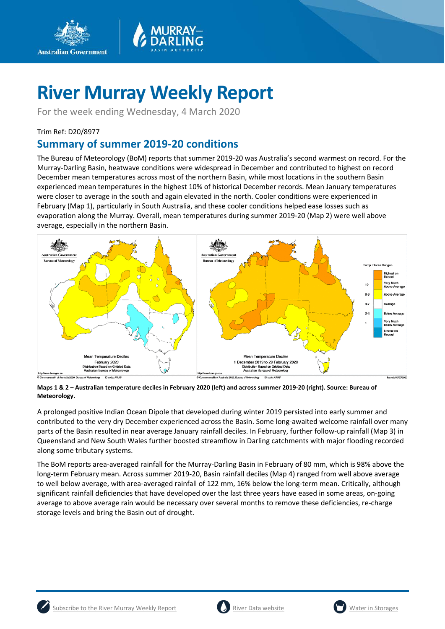



For the week ending Wednesday, 4 March 2020

#### Trim Ref: D20/8977

### **Summary of summer 2019-20 conditions**

The Bureau of Meteorology (BoM) reports that summer 2019-20 was Australia's second warmest on record. For the Murray-Darling Basin, heatwave conditions were widespread in December and contributed to highest on record December mean temperatures across most of the northern Basin, while most locations in the southern Basin experienced mean temperatures in the highest 10% of historical December records. Mean January temperatures were closer to average in the south and again elevated in the north. Cooler conditions were experienced in February (Map 1), particularly in South Australia, and these cooler conditions helped ease losses such as evaporation along the Murray. Overall, mean temperatures during summer 2019-20 (Map 2) were well above average, especially in the northern Basin.



**Maps 1 & 2 – Australian temperature deciles in February 2020 (left) and across summer 2019-20 (right). Source: Bureau of Meteorology.**

A prolonged positive Indian Ocean Dipole that developed during winter 2019 persisted into early summer and contributed to the very dry December experienced across the Basin. Some long-awaited welcome rainfall over many parts of the Basin resulted in near average January rainfall deciles. In February, further follow-up rainfall (Map 3) in Queensland and New South Wales further boosted streamflow in Darling catchments with major flooding recorded along some tributary systems.

The BoM reports area-averaged rainfall for the Murray-Darling Basin in February of 80 mm, which is 98% above the long-term February mean. Across summer 2019-20, Basin rainfall deciles (Map 4) ranged from well above average to well below average, with area-averaged rainfall of 122 mm, 16% below the long-term mean. Critically, although significant rainfall deficiencies that have developed over the last three years have eased in some areas, on-going average to above average rain would be necessary over several months to remove these deficiencies, re-charge storage levels and bring the Basin out of drought.





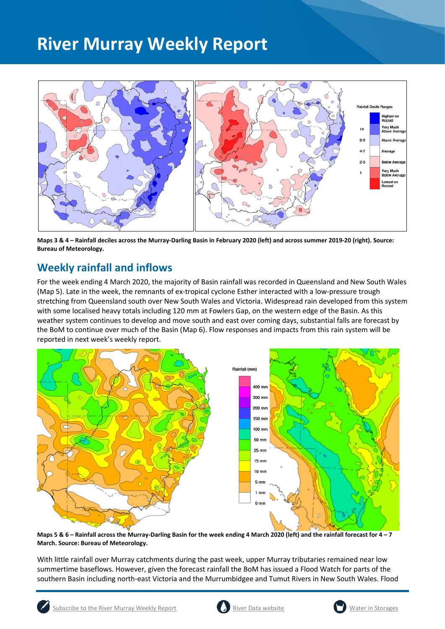

**Maps 3 & 4 – Rainfall deciles across the Murray-Darling Basin in February 2020 (left) and across summer 2019-20 (right). Source: Bureau of Meteorology.**

### **Weekly rainfall and inflows**

For the week ending 4 March 2020, the majority of Basin rainfall was recorded in Queensland and New South Wales (Map 5). Late in the week, the remnants of ex-tropical cyclone Esther interacted with a low-pressure trough stretching from Queensland south over New South Wales and Victoria. Widespread rain developed from this system with some localised heavy totals including 120 mm at Fowlers Gap, on the western edge of the Basin. As this weather system continues to develop and move south and east over coming days, substantial falls are forecast by the BoM to continue over much of the Basin (Map 6). Flow responses and impacts from this rain system will be reported in next week's weekly report.



**Maps 5 & 6 – Rainfall across the Murray-Darling Basin for the week ending 4 March 2020 (left) and the rainfall forecast for 4 – 7 March. Source: Bureau of Meteorology.**

With little rainfall over Murray catchments during the past week, upper Murray tributaries remained near low summertime baseflows. However, given the forecast rainfall the BoM has issued a Flood Watch for parts of the southern Basin including north-east Victoria and the Murrumbidgee and Tumut Rivers in New South Wales. Flood



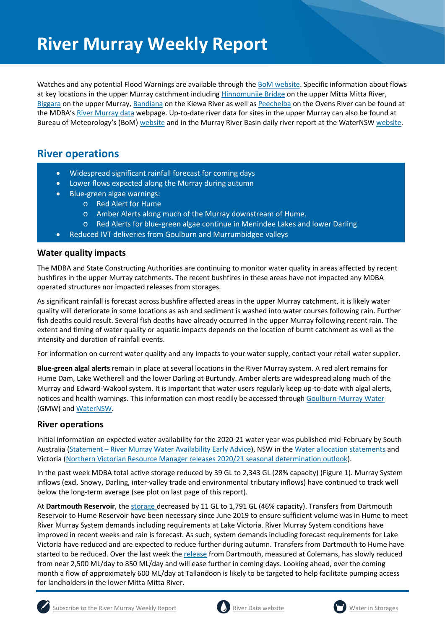Watches and any potential Flood Warnings are available through the [BoM website.](http://www.bom.gov.au/?ref=logo) Specific information about flows at key locations in the upper Murray catchment includin[g Hinnomunjie Bridge](https://riverdata.mdba.gov.au/hinnomunjie) on the upper Mitta Mitta River, [Biggara](https://riverdata.mdba.gov.au/biggara) on the upper Murray, [Bandiana](https://riverdata.mdba.gov.au/bandiana) on the Kiewa River as well a[s Peechelba](https://riverdata.mdba.gov.au/peechelba) on the Ovens River can be found at the MDBA'[s River Murray data](https://riverdata.mdba.gov.au/system-view) webpage. Up-to-date river data for sites in the upper Murray can also be found at Bureau of Meteorology's (BoM) [website](http://www.bom.gov.au/cgi-bin/wrap_fwo.pl?IDV60151.html) and in the Murray River Basin daily river report at the WaterNS[W website.](https://realtimedata.waternsw.com.au/water.stm)

### **River operations**

- Widespread significant rainfall forecast for coming days
- Lower flows expected along the Murray during autumn
- Blue-green algae warnings:
	- o Red Alert for Hume
	- o Amber Alerts along much of the Murray downstream of Hume.
	- o Red Alerts for blue-green algae continue in Menindee Lakes and lower Darling
- Reduced IVT deliveries from Goulburn and Murrumbidgee valleys

#### **Water quality impacts**

The MDBA and State Constructing Authorities are continuing to monitor water quality in areas affected by recent bushfires in the upper Murray catchments. The recent bushfires in these areas have not impacted any MDBA operated structures nor impacted releases from storages.

As significant rainfall is forecast across bushfire affected areas in the upper Murray catchment, it is likely water quality will deteriorate in some locations as ash and sediment is washed into water courses following rain. Further fish deaths could result. Several fish deaths have already occurred in the upper Murray following recent rain. The extent and timing of water quality or aquatic impacts depends on the location of burnt catchment as well as the intensity and duration of rainfall events.

For information on current water quality and any impacts to your water supply, contact your retail water supplier.

**Blue-green algal alerts** remain in place at several locations in the River Murray system. A red alert remains for Hume Dam, Lake Wetherell and the lower Darling at Burtundy. Amber alerts are widespread along much of the Murray and Edward-Wakool system. It is important that water users regularly keep up-to-date with algal alerts, notices and health warnings. This information can most readily be accessed through [Goulburn-Murray Water](https://www.g-mwater.com.au/news/bga) (GMW) and [WaterNSW.](https://www.waternsw.com.au/water-quality/algae)

#### **River operations**

Initial information on expected water availability for the 2020-21 water year was published mid-February by South Australia (Statement – [River Murray Water Availability Early Advice\)](https://www.environment.sa.gov.au/topics/river-murray), NSW in th[e Water allocation statements](https://www.industry.nsw.gov.au/__data/assets/pdf_file/0003/290136/WAS-Murray-20200217.pdf) and Victoria [\(Northern Victorian Resource Manager releases 2020/21 seasonal determination outlook\)](https://nvrm.net.au/outlooks/current-outlook).

In the past week MDBA total active storage reduced by 39 GL to 2,343 GL (28% capacity) (Figure 1). Murray System inflows (excl. Snowy, Darling, inter-valley trade and environmental tributary inflows) have continued to track well below the long-term average (see plot on last page of this report).

At **Dartmouth Reservoir**, the [storage](https://riverdata.mdba.gov.au/dartmouth-dam) decreased by 11 GL to 1,791 GL (46% capacity). Transfers from Dartmouth Reservoir to Hume Reservoir have been necessary since June 2019 to ensure sufficient volume was in Hume to meet River Murray System demands including requirements at Lake Victoria. River Murray System conditions have improved in recent weeks and rain is forecast. As such, system demands including forecast requirements for Lake Victoria have reduced and are expected to reduce further during autumn. Transfers from Dartmouth to Hume have started to be reduced. Over the last week the [release](https://riverdata.mdba.gov.au/colemans) from Dartmouth, measured at Colemans, has slowly reduced from near 2,500 ML/day to 850 ML/day and will ease further in coming days. Looking ahead, over the coming month a flow of approximately 600 ML/day at Tallandoon is likely to be targeted to help facilitate pumping access for landholders in the lower Mitta Mitta River.





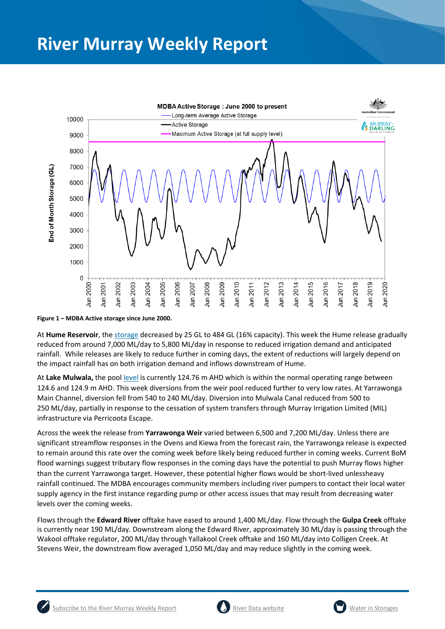

**Figure 1 – MDBA Active storage since June 2000.**

At **Hume Reservoir**, the [storage](https://riverdata.mdba.gov.au/hume-dam) decreased by 25 GL to 484 GL (16% capacity). This week the Hume release gradually reduced from around 7,000 ML/day to 5,800 ML/day in response to reduced irrigation demand and anticipated rainfall. While releases are likely to reduce further in coming days, the extent of reductions will largely depend on the impact rainfall has on both irrigation demand and inflows downstream of Hume.

At **Lake Mulwala,** the pool [level](https://riverdata.mdba.gov.au/yarrawonga-weir-upstream) is currently 124.76 m AHD which is within the normal operating range between 124.6 and 124.9 m AHD. This week diversions from the weir pool reduced further to very low rates. At Yarrawonga Main Channel, diversion fell from 540 to 240 ML/day. Diversion into Mulwala Canal reduced from 500 to 250 ML/day, partially in response to the cessation of system transfers through Murray Irrigation Limited (MIL) infrastructure via Perricoota Escape.

Across the week the release from **Yarrawonga Weir** varied between 6,500 and 7,200 ML/day. Unless there are significant streamflow responses in the Ovens and Kiewa from the forecast rain, the Yarrawonga release is expected to remain around this rate over the coming week before likely being reduced further in coming weeks. Current BoM flood warnings suggest tributary flow responses in the coming days have the potential to push Murray flows higher than the current Yarrawonga target. However, these potential higher flows would be short-lived unlessheavy rainfall continued. The MDBA encourages community members including river pumpers to contact their local water supply agency in the first instance regarding pump or other access issues that may result from decreasing water levels over the coming weeks.

Flows through the **Edward River** offtake have eased to around 1,400 ML/day. Flow through the **Gulpa Creek** offtake is currently near 190 ML/day. Downstream along the Edward River, approximately 30 ML/day is passing through the Wakool offtake regulator, 200 ML/day through Yallakool Creek offtake and 160 ML/day into Colligen Creek. At Stevens Weir, the downstream flow averaged 1,050 ML/day and may reduce slightly in the coming week.



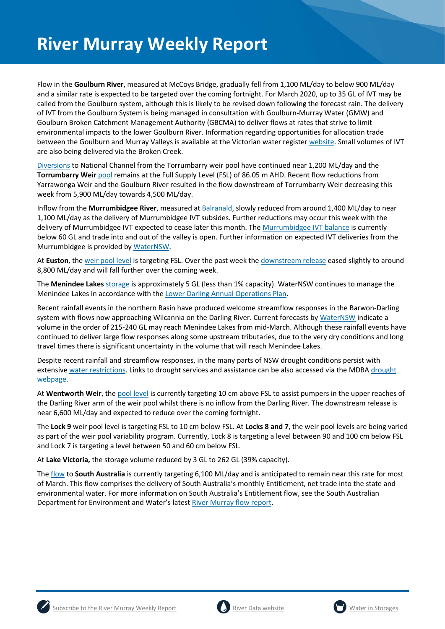Flow in the **Goulburn River**, measured at McCoys Bridge, gradually fell from 1,100 ML/day to below 900 ML/day and a similar rate is expected to be targeted over the coming fortnight. For March 2020, up to 35 GL of IVT may be called from the Goulburn system, although this is likely to be revised down following the forecast rain. The delivery of IVT from the Goulburn System is being managed in consultation with Goulburn-Murray Water (GMW) and Goulburn Broken Catchment Management Authority (GBCMA) to deliver flows at rates that strive to limit environmental impacts to the lower Goulburn River. Information regarding opportunities for allocation trade between the Goulburn and Murray Valleys is available at the Victorian water registe[r website.](http://waterregister.vic.gov.au/water-trading/allocation-trading#AllocationTradeOpportunities) Small volumes of IVT are also being delivered via the Broken Creek.

[Diversions](https://riverdata.mdba.gov.au/national-channel-ds-torrumbarry-headworks) to National Channel from the Torrumbarry weir pool have continued near 1,200 ML/day and the **Torrumbarry Weir** [pool](https://riverdata.mdba.gov.au/torrumbarry-weir-lock-26) remains at the Full Supply Level (FSL) of 86.05 m AHD. Recent flow reductions from Yarrawonga Weir and the Goulburn River resulted in the flow downstream of Torrumbarry Weir decreasing this week from 5,900 ML/day towards 4,500 ML/day.

Inflow from the **Murrumbidgee River**, measured a[t Balranald,](https://riverdata.mdba.gov.au/balranald-weir-downstream) slowly reduced from around 1,400 ML/day to near 1,100 ML/day as the delivery of Murrumbidgee IVT subsides. Further reductions may occur this week with the delivery of Murrumbidgee IVT expected to cease later this month. Th[e Murrumbidgee IVT balance](https://www.waternsw.com.au/customer-service/ordering-trading-and-pricing/trading/murrumbidgee) is currently below 60 GL and trade into and out of the valley is open. Further information on expected IVT deliveries from the Murrumbidgee is provided b[y WaterNSW.](https://www.waternsw.com.au/customer-service/ordering-trading-and-pricing/trading/murrumbidgee)

At **Euston**, the [weir pool level](https://riverdata.mdba.gov.au/euston-weir-upstream) is targeting FSL. Over the past week the [downstream release](https://riverdata.mdba.gov.au/euston-weir-downstream) eased slightly to around 8,800 ML/day and will fall further over the coming week.

The **Menindee Lakes** storage is approximately 5 GL (less than 1% capacity). WaterNSW continues to manage the Menindee Lakes in accordance with the [Lower Darling Annual Operations Plan.](https://www.waternsw.com.au/supply/regional-nsw/operations)

Recent rainfall events in the northern Basin have produced welcome streamflow responses in the Barwon-Darling system with flows now approaching Wilcannia on the Darling River. Current forecasts by [WaterNSW](https://www.waternsw.com.au/supply/regional-nsw/operations-updates) indicate a volume in the order of 215-240 GL may reach Menindee Lakes from mid-March. Although these rainfall events have continued to deliver large flow responses along some upstream tributaries, due to the very dry conditions and long travel times there is significant uncertainty in the volume that will reach Menindee Lakes.

Despite recent rainfall and streamflow responses, in the many parts of NSW drought conditions persist with extensiv[e water restrictions.](https://www.industry.nsw.gov.au/water/allocations-availability/temporary-water-restrictions) Links to drought services and assistance can be also accessed via the MDB[A drought](https://www.mdba.gov.au/managing-water/drought-murray-darling-basin)  [webpage.](https://www.mdba.gov.au/managing-water/drought-murray-darling-basin)

At **Wentworth Weir**, th[e pool level](https://riverdata.mdba.gov.au/wentworth-weir-lock-10) is currently targeting 10 cm above FSL to assist pumpers in the upper reaches of the Darling River arm of the weir pool whilst there is no inflow from the Darling River. The downstream release is near 6,600 ML/day and expected to reduce over the coming fortnight.

The **Lock 9** weir pool level is targeting FSL to 10 cm below FSL. At **Locks 8 and 7**, the weir pool levels are being varied as part of the weir pool variability program. Currently, Lock 8 is targeting a level between 90 and 100 cm below FSL and Lock 7 is targeting a level between 50 and 60 cm below FSL.

At **Lake Victoria,** the storage volume reduced by 3 GL to 262 GL (39% capacity).

The [flow](https://riverdata.mdba.gov.au/flow-south-australia-calculated) to **South Australia** is currently targeting 6,100 ML/day and is anticipated to remain near this rate for most of March. This flow comprises the delivery of South Australia's monthly Entitlement, net trade into the state and environmental water. For more information on South Australia's Entitlement flow, see the South Australian Department for Environment and Water's latest [River Murray flow report.](https://www.waterconnect.sa.gov.au/River-Murray/SitePages/2019%20Flow%20Reports.aspx)





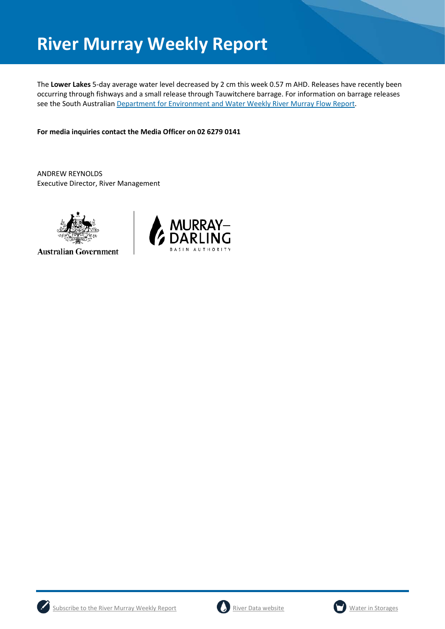The **Lower Lakes** 5-day average water level decreased by 2 cm this week 0.57 m AHD. Releases have recently been occurring through fishways and a small release through Tauwitchere barrage. For information on barrage releases see the South Australian [Department for Environment and Water Weekly River Murray Flow Report.](https://www.waterconnect.sa.gov.au/River-Murray/SitePages/River%20Murray%20Flow%20Reports.aspx)

**For media inquiries contact the Media Officer on 02 6279 0141**

ANDREW REYNOLDS Executive Director, River Management



**Australian Government** 







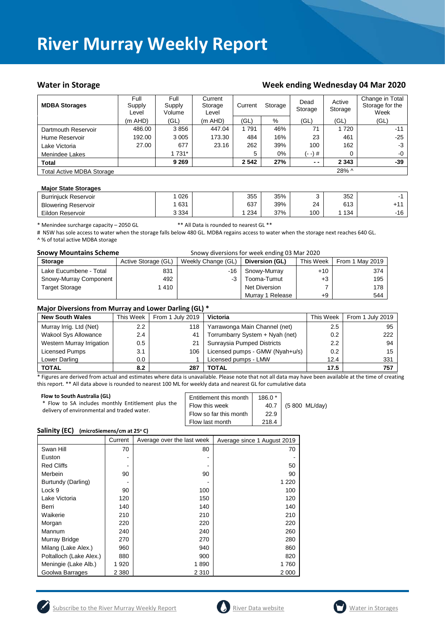#### Water in Storage Water in Storage Week ending Wednesday 04 Mar 2020

| <b>MDBA Storages</b>                      | Full<br>Supply<br>Level | Full<br>Supply<br>Volume | Current<br>Storage<br>Level | Current<br>Storage |       | Active<br>Dead<br>Storage<br>Storage |         | Change in Total<br>Storage for the<br>Week |
|-------------------------------------------|-------------------------|--------------------------|-----------------------------|--------------------|-------|--------------------------------------|---------|--------------------------------------------|
|                                           | $(m$ AHD)               | (GL)                     | $(m$ AHD)                   | (GL)               | %     | (GL)                                 | (GL)    | (GL)                                       |
| Dartmouth Reservoir                       | 486.00                  | 3856                     | 447.04                      | 1791               | 46%   | 71                                   | 1 7 2 0 | $-11$                                      |
| Hume Reservoir                            | 192.00                  | 3 0 0 5                  | 173.30                      | 484                | 16%   | 23                                   | 461     | $-25$                                      |
| Lake Victoria                             | 27.00                   | 677                      | 23.16                       | 262                | 39%   | 100                                  | 162     | $-3$                                       |
| Menindee Lakes                            |                         | 1 731*                   |                             | 5                  | $0\%$ | (- -) #                              | 0       | $-0$                                       |
| <b>Total</b>                              |                         | 9 2 6 9                  |                             | 2 5 4 2            | 27%   | $ -$                                 | 2 3 4 3 | -39                                        |
| 28% ^<br><b>Total Active MDBA Storage</b> |                         |                          |                             |                    |       |                                      |         |                                            |

#### **Major State Storages**

| <b>Burriniuck Reservoir</b> | 026     | 355 | 35% |     | 352 |       |
|-----------------------------|---------|-----|-----|-----|-----|-------|
| <b>Blowering Reservoir</b>  | 631     | 637 | 39% | 24  | 613 |       |
| Eildon Reservoir            | 3 3 3 4 | 234 | 37% | 100 | 134 | $-16$ |

\* Menindee surcharge capacity – 2050 GL \*\* All Data is rounded to nearest GL \*\*

# NSW has sole access to water when the storage falls below 480 GL. MDBA regains access to water when the storage next reaches 640 GL. ^ % of total active MDBA storage

| <b>Snowy Mountains Scheme</b> |                     | Snowy diversions for week ending 03 Mar 2020 |                  |           |                 |  |
|-------------------------------|---------------------|----------------------------------------------|------------------|-----------|-----------------|--|
| <b>Storage</b>                | Active Storage (GL) | Weekly Change (GL)                           | Diversion (GL)   | This Week | From 1 May 2019 |  |
| Lake Eucumbene - Total        | 831                 | -16                                          | Snowy-Murray     | $+10$     | 374             |  |
| Snowy-Murray Component        | 492                 | -3                                           | Tooma-Tumut      | $+3$      | 195             |  |
| <b>Target Storage</b>         | 1 4 1 0             |                                              | Net Diversion    |           | 178             |  |
|                               |                     |                                              | Murray 1 Release | +9        | 544             |  |

#### **Major Diversions from Murray and Lower Darling (GL) \***

| <b>New South Wales</b>      | This Week     | . .<br>From 1 July 2019 | <b>Victoria</b>                 | This Week | From 1 July 2019 |
|-----------------------------|---------------|-------------------------|---------------------------------|-----------|------------------|
| Murray Irrig. Ltd (Net)     | $2.2^{\circ}$ | 118                     | Yarrawonga Main Channel (net)   | 2.5       | 95               |
| <b>Wakool Sys Allowance</b> | 2.4           | 41                      | Torrumbarry System + Nyah (net) | 0.2       | 222              |
| Western Murray Irrigation   | 0.5           | 21                      | Sunraysia Pumped Districts      | 2.2       | 94               |
| Licensed Pumps              | 3.1           | 106                     | Licensed pumps - GMW (Nyah+u/s) | 0.2       | 15               |
| Lower Darling               | $0.0\,$       |                         | Licensed pumps - LMW            | 12.4      | 331              |
| <b>TOTAL</b>                | 8.2           | 287                     | TOTAL                           | 17.5      | 757              |

\* Figures are derived from actual and estimates where data is unavailable. Please note that not all data may have been available at the time of creating this report. \*\* All data above is rounded to nearest 100 ML for weekly data and nearest GL for cumulative data

| Flow to South Australia (GL)<br>* Flow to SA includes monthly Entitlement plus the<br>delivery of environmental and traded water. | Entitlement this month<br>Flow this week<br>Flow so far this month<br>Flow last month | $186.0*$<br>40.7<br>22.9<br>218.4 | (5 800 ML/day) |
|-----------------------------------------------------------------------------------------------------------------------------------|---------------------------------------------------------------------------------------|-----------------------------------|----------------|
|-----------------------------------------------------------------------------------------------------------------------------------|---------------------------------------------------------------------------------------|-----------------------------------|----------------|

#### **Salinity (EC)** (microSiemens/cm at 25°C)

|                         | Current | Average over the last week | Average since 1 August 2019 |
|-------------------------|---------|----------------------------|-----------------------------|
| Swan Hill               | 70      | 80                         | 70                          |
| Euston                  |         |                            |                             |
| <b>Red Cliffs</b>       |         |                            | 50                          |
| Merbein                 | 90      | 90                         | 90                          |
| Burtundy (Darling)      |         |                            | 1 2 2 0                     |
| Lock 9                  | 90      | 100                        | 100                         |
| Lake Victoria           | 120     | 150                        | 120                         |
| Berri                   | 140     | 140                        | 140                         |
| Waikerie                | 210     | 210                        | 210                         |
| Morgan                  | 220     | 220                        | 220                         |
| Mannum                  | 240     | 240                        | 260                         |
| Murray Bridge           | 270     | 270                        | 280                         |
| Milang (Lake Alex.)     | 960     | 940                        | 860                         |
| Poltalloch (Lake Alex.) | 880     | 900                        | 820                         |
| Meningie (Lake Alb.)    | 1920    | 1890                       | 1760                        |
| Goolwa Barrages         | 2 3 8 0 | 2 3 1 0                    | 2 000                       |





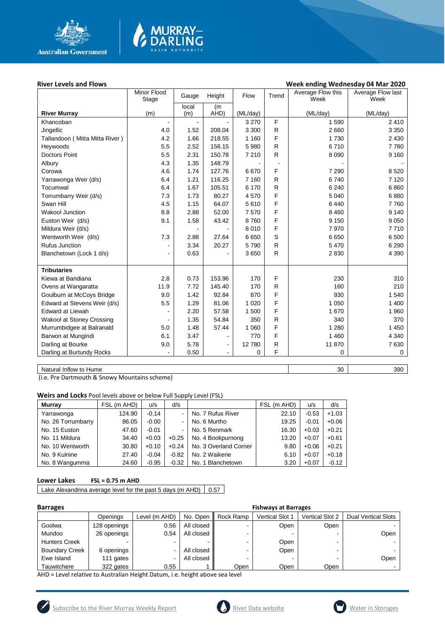

# **MURRAY-<br>DARLING**

#### River Levels and Flows **River Levels and Flows River Levels and Flows Week ending Wednesday 04 Mar 2020**

|                                | Minor Flood<br>Stage | Gauge          | Height         | Flow     | Trend        | Average Flow this<br>Week | Average Flow last<br>Week |
|--------------------------------|----------------------|----------------|----------------|----------|--------------|---------------------------|---------------------------|
|                                |                      | local          | (m             |          |              |                           |                           |
| <b>River Murray</b>            | (m)                  | (m)            | AHD)           | (ML/day) |              | (ML/day)                  | (ML/day)                  |
| Khancoban                      | $\blacksquare$       |                |                | 3 2 7 0  | F            | 1590                      | 2410                      |
| Jingellic                      | 4.0                  | 1.52           | 208.04         | 3 3 0 0  | $\mathsf{R}$ | 2 6 6 0                   | 3 3 5 0                   |
| Tallandoon (Mitta Mitta River) | 4.2                  | 1.66           | 218.55         | 1 1 6 0  | F            | 1730                      | 2 4 3 0                   |
| Heywoods                       | 5.5                  | 2.52           | 156.15         | 5 9 8 0  | $\mathsf{R}$ | 6710                      | 7780                      |
| <b>Doctors Point</b>           | 5.5                  | 2.31           | 150.78         | 7 2 1 0  | $\mathsf{R}$ | 8 0 9 0                   | 9 1 6 0                   |
| Albury                         | 4.3                  | 1.35           | 148.79         |          |              |                           |                           |
| Corowa                         | 4.6                  | 1.74           | 127.76         | 6670     | F            | 7 2 9 0                   | 8520                      |
| Yarrawonga Weir (d/s)          | 6.4                  | 1.21           | 116.25         | 7 1 6 0  | R            | 6740                      | 7 1 2 0                   |
| Tocumwal                       | 6.4                  | 1.67           | 105.51         | 6 170    | R            | 6 2 4 0                   | 6860                      |
| Torrumbarry Weir (d/s)         | 7.3                  | 1.73           | 80.27          | 4570     | F            | 5 0 4 0                   | 6880                      |
| Swan Hill                      | 4.5                  | 1.15           | 64.07          | 5610     | F            | 6440                      | 7760                      |
| <b>Wakool Junction</b>         | 8.8                  | 2.88           | 52.00          | 7570     | F            | 8 4 6 0                   | 9 1 4 0                   |
| Euston Weir (d/s)              | 9.1                  | 1.58           | 43.42          | 8760     | F            | 9 1 5 0                   | 9 0 5 0                   |
| Mildura Weir (d/s)             |                      | $\blacksquare$ |                | 8 0 1 0  | F            | 7970                      | 7710                      |
| Wentworth Weir (d/s)           | 7.3                  | 2.88           | 27.64          | 6650     | S            | 6650                      | 6 500                     |
| <b>Rufus Junction</b>          | $\overline{a}$       | 3.34           | 20.27          | 5790     | $\mathsf{R}$ | 5 4 7 0                   | 6 2 9 0                   |
| Blanchetown (Lock 1 d/s)       | $\overline{a}$       | 0.63           |                | 3650     | R            | 2830                      | 4 3 9 0                   |
|                                |                      |                |                |          |              |                           |                           |
| <b>Tributaries</b>             |                      |                |                |          |              |                           |                           |
| Kiewa at Bandiana              | 2.8                  | 0.73           | 153.96         | 170      | F            | 230                       | 310                       |
| Ovens at Wangaratta            | 11.9                 | 7.72           | 145.40         | 170      | $\mathsf{R}$ | 160                       | 210                       |
| Goulburn at McCoys Bridge      | 9.0                  | 1.42           | 92.84          | 870      | F            | 930                       | 1 5 4 0                   |
| Edward at Stevens Weir (d/s)   | 5.5                  | 1.29           | 81.06          | 1 0 2 0  | F            | 1 0 5 0                   | 1 400                     |
| <b>Edward at Liewah</b>        |                      | 2.20           | 57.58          | 1 500    | F            | 1670                      | 1 960                     |
| Wakool at Stoney Crossing      |                      | 1.35           | 54.84          | 350      | $\mathsf{R}$ | 340                       | 370                       |
| Murrumbidgee at Balranald      | 5.0                  | 1.48           | 57.44          | 1 0 6 0  | F            | 1 2 8 0                   | 1 4 5 0                   |
| Barwon at Mungindi             | 6.1                  | 3.47           |                | 770      | F            | 1 4 6 0                   | 4 3 4 0                   |
| Darling at Bourke              | 9.0                  | 5.78           | $\blacksquare$ | 12780    | $\mathsf{R}$ | 11870                     | 7630                      |
| Darling at Burtundy Rocks      |                      | 0.50           |                | 0        | F            | 0                         | 0                         |
|                                |                      |                |                |          |              |                           |                           |

Natural Inflow to Hume 390

(i.e. Pre Dartmouth & Snowy Mountains scheme)

**Weirs and Locks** Pool levels above or below Full Supply Level (FSL)

| Murray             | FSL (m AHD) | u/s     | d/s            |                       | FSL (m AHD) | u/s     | d/s     |
|--------------------|-------------|---------|----------------|-----------------------|-------------|---------|---------|
| Yarrawonga         | 124.90      | $-0.14$ | $\blacksquare$ | No. 7 Rufus River     | 22.10       | $-0.53$ | $+1.03$ |
| No. 26 Torrumbarry | 86.05       | $-0.00$ | ۰.             | No. 6 Murtho          | 19.25       | $-0.01$ | $+0.06$ |
| No. 15 Euston      | 47.60       | $-0.01$ |                | No. 5 Renmark         | 16.30       | $+0.03$ | $+0.21$ |
| No. 11 Mildura     | 34.40       | $+0.03$ | $+0.25$        | No. 4 Bookpurnong     | 13.20       | $+0.07$ | $+0.61$ |
| No. 10 Wentworth   | 30.80       | $+0.10$ | $+0.24$        | No. 3 Overland Corner | 9.80        | $+0.06$ | $+0.21$ |
| No. 9 Kulnine      | 27.40       | $-0.04$ | $-0.82$        | No. 2 Waikerie        | 6.10        | $+0.07$ | $+0.18$ |
| No. 8 Wangumma     | 24.60       | $-0.95$ | $-0.32$        | No. 1 Blanchetown     | 3.20        | $+0.07$ | $-0.12$ |

#### **Lower Lakes FSL = 0.75 m AHD**

Lake Alexandrina average level for the past 5 days (m AHD)  $\Big| 0.57 \Big|$ 

| arrae |
|-------|
|-------|

| <b>Barrages</b>       | <b>Fishways at Barrages</b> |                |            |           |                        |                        |                            |
|-----------------------|-----------------------------|----------------|------------|-----------|------------------------|------------------------|----------------------------|
|                       | Openings                    | Level (m AHD)  | No. Open   | Rock Ramp | <b>Vertical Slot 1</b> | <b>Vertical Slot 2</b> | <b>Dual Vertical Slots</b> |
| Goolwa                | 128 openings                | 0.56           | All closed |           | Open                   | Open                   |                            |
| Mundoo                | 26 openings                 | 0.54           | All closed |           |                        |                        | Open                       |
| <b>Hunters Creek</b>  |                             | -              |            |           | Open                   |                        |                            |
| <b>Boundary Creek</b> | 6 openings                  | ۰              | All closed |           | Open                   |                        |                            |
| Ewe Island            | 111 gates                   | $\blacksquare$ | All closed |           |                        |                        | Open                       |
| Tauwitchere           | 322 gates                   | 0.55           |            | Open      | Open                   | Open                   |                            |

AHD = Level relative to Australian Height Datum, i.e. height above sea level